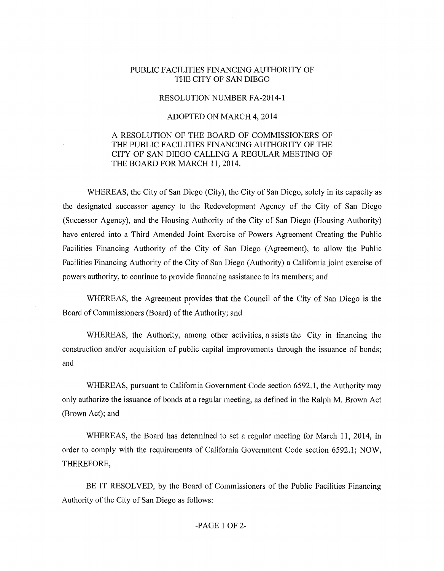## PUBLIC FACILITIES FINANCING AUTHORITY OF THE CITY OF SAN DIEGO

## RESOLUTION NUMBER FA-2014-1

## ADOPTED ON MARCH 4, 2014

## A RESOLUTION OF THE BOARD OF COMMISSIONERS OF THE PUBLIC FACILITIES FINANCING AUTHORITY OF THE CITY OF SAN DIEGO CALLING A REGULAR MEETING OF THE BOARD FOR MARCH 11, 2014.

WHEREAS, the City of San Diego (City), the City of San Diego, solely in its capacity as the designated successor agency to the Redevelopment Agency of the City of San Diego (Successor Agency), and the Housing Authority of the City of San Diego (Housing Authority) have entered into a Third Amended Joint Exercise of Powers Agreement Creating the Public Facilities Financing Authority of the City of San Diego (Agreement), to allow the Public Facilities Financing Authority of the City of San Diego (Authority) a California joint exercise of powers authority, to continue to provide financing assistance to its members; and

WHEREAS, the Agreement provides that the Council of the City of San Diego is the Board of Commissioners (Board) of the Authority; and

WHEREAS, the Authority, among other activities, assists the City in financing the construction and/or acquisition of public capital improvements through the issuance of bonds; and

WHEREAS, pursuant to California Government Code section 6592.1, the Authority may only authorize the issuance of bonds at a regular meeting, as defined in the Ralph M. Brown Act (Brown Act); and

WHEREAS, the Board has determined to set a regular meeting for March 11, 2014, in order to comply with the requirements of California Government Code section 6592.1; NOW, THEREFORE,

BE IT RESOLVED, by the Board of Commissioners of the Public Facilities Financing Authority of the City of San Diego as follows: